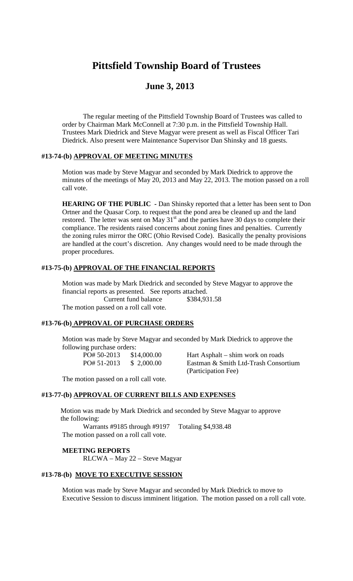# **Pittsfield Township Board of Trustees**

## **June 3, 2013**

The regular meeting of the Pittsfield Township Board of Trustees was called to order by Chairman Mark McConnell at 7:30 p.m. in the Pittsfield Township Hall. Trustees Mark Diedrick and Steve Magyar were present as well as Fiscal Officer Tari Diedrick. Also present were Maintenance Supervisor Dan Shinsky and 18 guests.

### **#13-74-(b) APPROVAL OF MEETING MINUTES**

Motion was made by Steve Magyar and seconded by Mark Diedrick to approve the minutes of the meetings of May 20, 2013 and May 22, 2013. The motion passed on a roll call vote.

**HEARING OF THE PUBLIC -** Dan Shinsky reported that a letter has been sent to Don Ortner and the Quasar Corp. to request that the pond area be cleaned up and the land restored. The letter was sent on May  $31<sup>st</sup>$  and the parties have 30 days to complete their compliance. The residents raised concerns about zoning fines and penalties. Currently the zoning rules mirror the ORC (Ohio Revised Code). Basically the penalty provisions are handled at the court's discretion. Any changes would need to be made through the proper procedures.

## **#13-75-(b) APPROVAL OF THE FINANCIAL REPORTS**

Motion was made by Mark Diedrick and seconded by Steve Magyar to approve the financial reports as presented. See reports attached. Current fund balance \$384,931.58 The motion passed on a roll call vote.

#### **#13-76-(b) APPROVAL OF PURCHASE ORDERS**

Motion was made by Steve Magyar and seconded by Mark Diedrick to approve the following purchase orders:

PO# 50-2013 \$14,000.00 Hart Asphalt – shim work on roads PO# 51-2013 \$ 2,000.00 Eastman & Smith Ltd-Trash Consortium (Participation Fee)

The motion passed on a roll call vote.

#### **#13-77-(b) APPROVAL OF CURRENT BILLS AND EXPENSES**

Motion was made by Mark Diedrick and seconded by Steve Magyar to approve the following:

Warrants #9185 through #9197 Totaling \$4,938.48 The motion passed on a roll call vote.

#### **MEETING REPORTS**

RLCWA – May 22 – Steve Magyar

#### **#13-78-(b) MOVE TO EXECUTIVE SESSION**

Motion was made by Steve Magyar and seconded by Mark Diedrick to move to Executive Session to discuss imminent litigation. The motion passed on a roll call vote.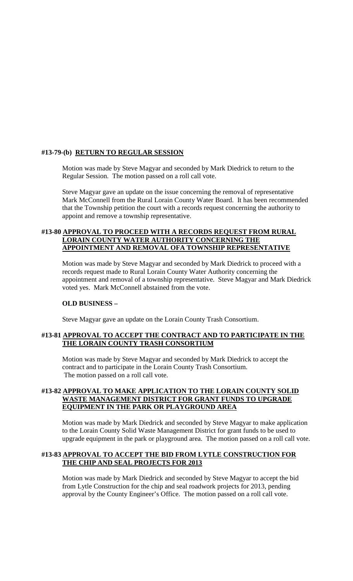### **#13-79-(b) RETURN TO REGULAR SESSION**

Motion was made by Steve Magyar and seconded by Mark Diedrick to return to the Regular Session. The motion passed on a roll call vote.

Steve Magyar gave an update on the issue concerning the removal of representative Mark McConnell from the Rural Lorain County Water Board. It has been recommended that the Township petition the court with a records request concerning the authority to appoint and remove a township representative.

#### **#13-80 APPROVAL TO PROCEED WITH A RECORDS REQUEST FROM RURAL LORAIN COUNTY WATER AUTHORITY CONCERNING THE APPOINTMENT AND REMOVAL OFA TOWNSHIP REPRESENTATIVE**

Motion was made by Steve Magyar and seconded by Mark Diedrick to proceed with a records request made to Rural Lorain County Water Authority concerning the appointment and removal of a township representative. Steve Magyar and Mark Diedrick voted yes. Mark McConnell abstained from the vote.

#### **OLD BUSINESS –**

Steve Magyar gave an update on the Lorain County Trash Consortium.

### **#13-81 APPROVAL TO ACCEPT THE CONTRACT AND TO PARTICIPATE IN THE THE LORAIN COUNTY TRASH CONSORTIUM**

Motion was made by Steve Magyar and seconded by Mark Diedrick to accept the contract and to participate in the Lorain County Trash Consortium. The motion passed on a roll call vote.

#### **#13-82 APPROVAL TO MAKE APPLICATION TO THE LORAIN COUNTY SOLID WASTE MANAGEMENT DISTRICT FOR GRANT FUNDS TO UPGRADE EQUIPMENT IN THE PARK OR PLAYGROUND AREA**

Motion was made by Mark Diedrick and seconded by Steve Magyar to make application to the Lorain County Solid Waste Management District for grant funds to be used to upgrade equipment in the park or playground area. The motion passed on a roll call vote.

#### **#13-83 APPROVAL TO ACCEPT THE BID FROM LYTLE CONSTRUCTION FOR THE CHIP AND SEAL PROJECTS FOR 2013**

Motion was made by Mark Diedrick and seconded by Steve Magyar to accept the bid from Lytle Construction for the chip and seal roadwork projects for 2013, pending approval by the County Engineer's Office. The motion passed on a roll call vote.